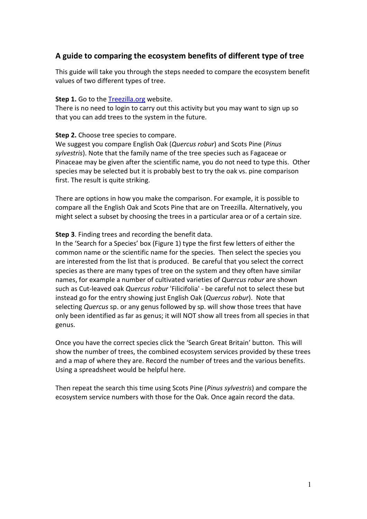# **A guide to comparing the ecosystem benefits of different type of tree**

This guide will take you through the steps needed to compare the ecosystem benefit values of two different types of tree.

#### **Step 1.** Go to the Treezilla.org website.

There is no need to login to carry out this activity but you may want to sign up so that you can add trees to the system in the future.

### **Step 2.** Choose tree species to compare.

We suggest you compare English Oak (*Quercus robur*) and Scots Pine (*Pinus sylvestris*). Note that the family name of the tree species such as Fagaceae or Pinaceae may be given after the scientific name, you do not need to type this. Other species may be selected but it is probably best to try the oak vs. pine comparison first. The result is quite striking.

There are options in how you make the comparison. For example, it is possible to compare all the English Oak and Scots Pine that are on Treezilla. Alternatively, you might select a subset by choosing the trees in a particular area or of a certain size.

### **Step 3**. Finding trees and recording the benefit data.

In the 'Search for a Species' box (Figure 1) type the first few letters of either the common name or the scientific name for the species. Then select the species you are interested from the list that is produced. Be careful that you select the correct species as there are many types of tree on the system and they often have similar names, for example a number of cultivated varieties of *Quercus robur* are shown such as Cut-leaved oak *Quercus robur* 'Filicifolia' - be careful not to select these but instead go for the entry showing just English Oak (*Quercus robur*). Note that selecting *Quercus* sp. or any genus followed by sp. will show those trees that have only been identified as far as genus; it will NOT show all trees from all species in that genus.

Once you have the correct species click the 'Search Great Britain' button. This will show the number of trees, the combined ecosystem services provided by these trees and a map of where they are. Record the number of trees and the various benefits. Using a spreadsheet would be helpful here.

Then repeat the search this time using Scots Pine (*Pinus sylvestris*) and compare the ecosystem service numbers with those for the Oak. Once again record the data.